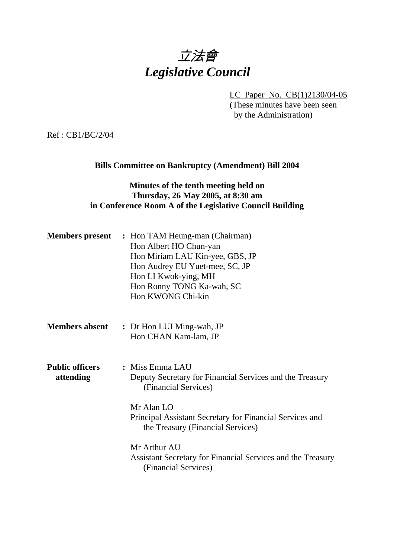# 立法會 *Legislative Council*

LC Paper No. CB(1)2130/04-05

(These minutes have been seen by the Administration)

Ref : CB1/BC/2/04

## **Bills Committee on Bankruptcy (Amendment) Bill 2004**

# **Minutes of the tenth meeting held on Thursday, 26 May 2005, at 8:30 am in Conference Room A of the Legislative Council Building**

| <b>Members present</b>              | : Hon TAM Heung-man (Chairman)<br>Hon Albert HO Chun-yan<br>Hon Miriam LAU Kin-yee, GBS, JP<br>Hon Audrey EU Yuet-mee, SC, JP<br>Hon LI Kwok-ying, MH<br>Hon Ronny TONG Ka-wah, SC<br>Hon KWONG Chi-kin            |
|-------------------------------------|--------------------------------------------------------------------------------------------------------------------------------------------------------------------------------------------------------------------|
| <b>Members absent</b>               | : Dr Hon LUI Ming-wah, JP<br>Hon CHAN Kam-lam, JP                                                                                                                                                                  |
| <b>Public officers</b><br>attending | : Miss Emma LAU<br>Deputy Secretary for Financial Services and the Treasury<br>(Financial Services)<br>Mr Alan LO<br>Principal Assistant Secretary for Financial Services and<br>the Treasury (Financial Services) |
|                                     | Mr Arthur AU<br>Assistant Secretary for Financial Services and the Treasury<br>(Financial Services)                                                                                                                |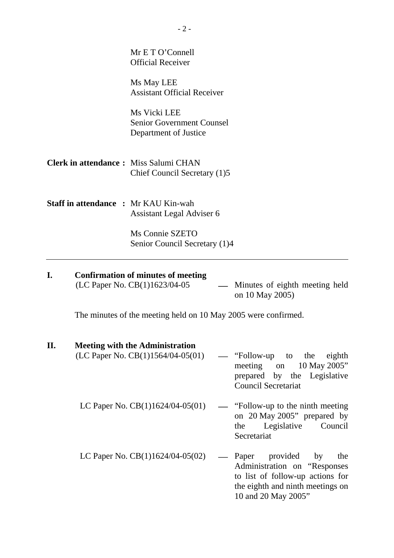|                                              | Ms Connie SZETO<br>Senior Council Secretary (1)4                          |
|----------------------------------------------|---------------------------------------------------------------------------|
| <b>Staff in attendance : Mr KAU Kin-wah</b>  | Assistant Legal Adviser 6                                                 |
| <b>Clerk in attendance:</b> Miss Salumi CHAN | Chief Council Secretary (1)5                                              |
|                                              | Ms Vicki LEE<br><b>Senior Government Counsel</b><br>Department of Justice |
|                                              | Ms May LEE<br><b>Assistant Official Receiver</b>                          |
|                                              | Mr E T O'Connell<br><b>Official Receiver</b>                              |

| <b>Confirmation of minutes of meeting</b> |                                  |  |
|-------------------------------------------|----------------------------------|--|
| (LC Paper No. $CB(1)1623/04-05$ )         | — Minutes of eighth meeting held |  |
|                                           | on 10 May 2005)                  |  |

The minutes of the meeting held on 10 May 2005 were confirmed.

## **II. Meeting with the Administration**

| $(LC$ Paper No. $CB(1)1564/04-05(01)$ — "Follow-up to the eighth |                             |  |  |
|------------------------------------------------------------------|-----------------------------|--|--|
|                                                                  | meeting on $10$ May 2005"   |  |  |
|                                                                  | prepared by the Legislative |  |  |
|                                                                  | Council Secretariat         |  |  |
|                                                                  |                             |  |  |

- LC Paper No.  $CB(1)1624/04-05(01)$  "Follow-up to the ninth meeting on 20 May 2005" prepared by the Legislative Council Secretariat
- LC Paper No.  $CB(1)1624/04-05(02)$  Paper provided by the Administration on "Responses to list of follow-up actions for the eighth and ninth meetings on 10 and 20 May 2005"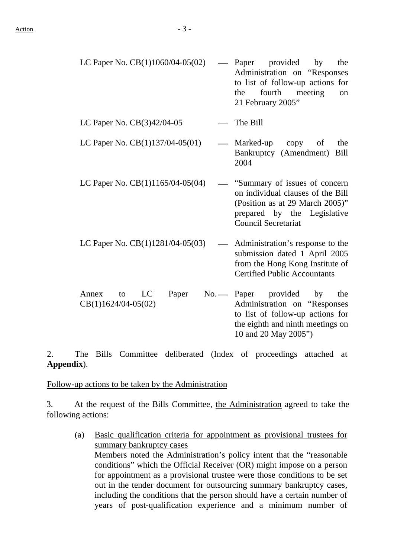| LC Paper No. CB(1)1060/04-05(02)                    | Paper provided by<br>the<br>Administration on "Responses"<br>to list of follow-up actions for<br>fourth meeting<br>the<br>on<br>21 February 2005"                  |
|-----------------------------------------------------|--------------------------------------------------------------------------------------------------------------------------------------------------------------------|
| LC Paper No. $CB(3)42/04-05$                        | The Bill                                                                                                                                                           |
| LC Paper No. $CB(1)137/04-05(01)$                   | Marked-up copy<br>of<br>the<br>Bankruptcy (Amendment)<br>Bill<br>2004                                                                                              |
| LC Paper No. CB(1)1165/04-05(04)                    | "Summary of issues of concern<br>on individual clauses of the Bill<br>(Position as at 29 March 2005)"<br>prepared by the Legislative<br><b>Council Secretariat</b> |
| LC Paper No. CB(1)1281/04-05(03)                    | Administration's response to the<br>submission dated 1 April 2005<br>from the Hong Kong Institute of<br><b>Certified Public Accountants</b>                        |
| LC<br>Annex<br>to<br>Paper<br>$CB(1)1624/04-05(02)$ | No. — Paper provided<br>the<br>by<br>Administration on "Responses                                                                                                  |

the eighth and ninth meetings on 10 and 20 May 2005")

to list of follow-up actions for

2. The Bills Committee deliberated (Index of proceedings attached at **Appendix**).

Follow-up actions to be taken by the Administration

3. At the request of the Bills Committee, the Administration agreed to take the following actions:

(a) Basic qualification criteria for appointment as provisional trustees for summary bankruptcy cases Members noted the Administration's policy intent that the "reasonable conditions" which the Official Receiver (OR) might impose on a person for appointment as a provisional trustee were those conditions to be set out in the tender document for outsourcing summary bankruptcy cases, including the conditions that the person should have a certain number of years of post-qualification experience and a minimum number of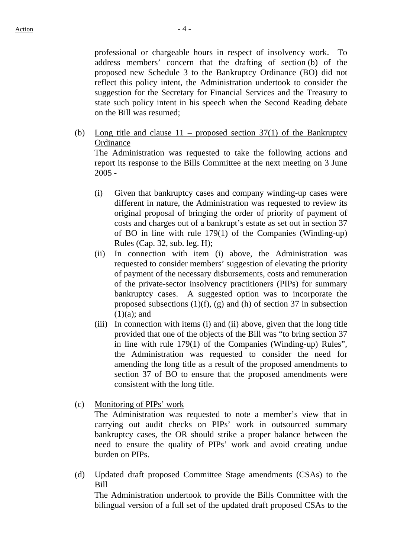professional or chargeable hours in respect of insolvency work. To address members' concern that the drafting of section (b) of the proposed new Schedule 3 to the Bankruptcy Ordinance (BO) did not reflect this policy intent, the Administration undertook to consider the suggestion for the Secretary for Financial Services and the Treasury to state such policy intent in his speech when the Second Reading debate on the Bill was resumed;

- (b) Long title and clause  $11$  proposed section 37(1) of the Bankruptcy **Ordinance** The Administration was requested to take the following actions and report its response to the Bills Committee at the next meeting on 3 June
	- (i) Given that bankruptcy cases and company winding-up cases were different in nature, the Administration was requested to review its original proposal of bringing the order of priority of payment of costs and charges out of a bankrupt's estate as set out in section 37 of BO in line with rule 179(1) of the Companies (Winding-up) Rules (Cap. 32, sub. leg. H);
	- (ii) In connection with item (i) above, the Administration was requested to consider members' suggestion of elevating the priority of payment of the necessary disbursements, costs and remuneration of the private-sector insolvency practitioners (PIPs) for summary bankruptcy cases. A suggested option was to incorporate the proposed subsections  $(1)(f)$ ,  $(g)$  and  $(h)$  of section 37 in subsection  $(1)(a)$ ; and
	- (iii) In connection with items (i) and (ii) above, given that the long title provided that one of the objects of the Bill was "to bring section 37 in line with rule 179(1) of the Companies (Winding-up) Rules", the Administration was requested to consider the need for amending the long title as a result of the proposed amendments to section 37 of BO to ensure that the proposed amendments were consistent with the long title.
- (c) Monitoring of PIPs' work

2005 -

The Administration was requested to note a member's view that in carrying out audit checks on PIPs' work in outsourced summary bankruptcy cases, the OR should strike a proper balance between the need to ensure the quality of PIPs' work and avoid creating undue burden on PIPs.

(d) Updated draft proposed Committee Stage amendments (CSAs) to the Bill

The Administration undertook to provide the Bills Committee with the bilingual version of a full set of the updated draft proposed CSAs to the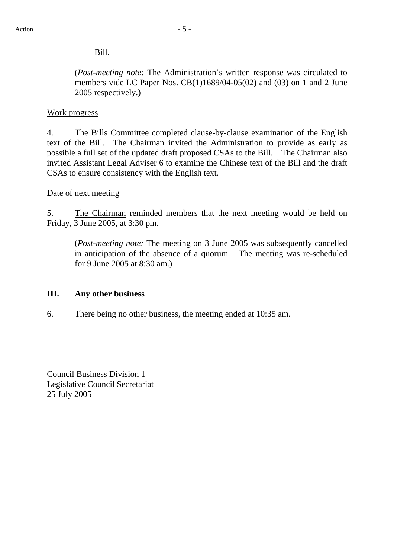## Bill.

(*Post-meeting note:* The Administration's written response was circulated to members vide LC Paper Nos. CB(1)1689/04-05(02) and (03) on 1 and 2 June 2005 respectively.)

### Work progress

4. The Bills Committee completed clause-by-clause examination of the English text of the Bill. The Chairman invited the Administration to provide as early as possible a full set of the updated draft proposed CSAs to the Bill. The Chairman also invited Assistant Legal Adviser 6 to examine the Chinese text of the Bill and the draft CSAs to ensure consistency with the English text.

#### Date of next meeting

5. The Chairman reminded members that the next meeting would be held on Friday, 3 June 2005, at 3:30 pm.

(*Post-meeting note:* The meeting on 3 June 2005 was subsequently cancelled in anticipation of the absence of a quorum. The meeting was re-scheduled for 9 June 2005 at 8:30 am.)

#### **III. Any other business**

6. There being no other business, the meeting ended at 10:35 am.

Council Business Division 1 Legislative Council Secretariat 25 July 2005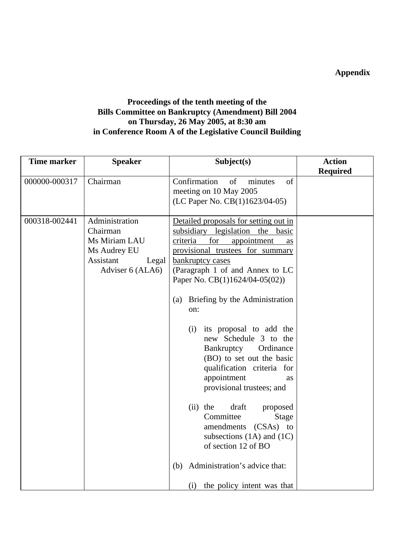**Appendix** 

# **Proceedings of the tenth meeting of the Bills Committee on Bankruptcy (Amendment) Bill 2004 on Thursday, 26 May 2005, at 8:30 am in Conference Room A of the Legislative Council Building**

| <b>Time marker</b> | <b>Speaker</b>                                                                                        | Subject(s)                                                                                                                                                                                                                                                                                                                                                                                                                                                                                                                                                                                                                                                                   | <b>Action</b>   |
|--------------------|-------------------------------------------------------------------------------------------------------|------------------------------------------------------------------------------------------------------------------------------------------------------------------------------------------------------------------------------------------------------------------------------------------------------------------------------------------------------------------------------------------------------------------------------------------------------------------------------------------------------------------------------------------------------------------------------------------------------------------------------------------------------------------------------|-----------------|
|                    |                                                                                                       |                                                                                                                                                                                                                                                                                                                                                                                                                                                                                                                                                                                                                                                                              | <b>Required</b> |
| 000000-000317      | Chairman                                                                                              | Confirmation<br>of<br>minutes<br>of<br>meeting on 10 May 2005<br>(LC Paper No. CB(1)1623/04-05)                                                                                                                                                                                                                                                                                                                                                                                                                                                                                                                                                                              |                 |
| 000318-002441      | Administration<br>Chairman<br>Ms Miriam LAU<br>Ms Audrey EU<br>Assistant<br>Legal<br>Adviser 6 (ALA6) | Detailed proposals for setting out in<br>subsidiary legislation the basic<br>for<br>criteria<br>appointment<br>as<br>provisional trustees for summary<br>bankruptcy cases<br>(Paragraph 1 of and Annex to LC<br>Paper No. CB(1)1624/04-05(02))<br>(a) Briefing by the Administration<br>on:<br>its proposal to add the<br>(i)<br>new Schedule 3 to the<br>Bankruptcy Ordinance<br>(BO) to set out the basic<br>qualification criteria for<br>appointment<br>as<br>provisional trustees; and<br>$(ii)$ the<br>draft<br>proposed<br>Committee<br>Stage<br>amendments (CSAs) to<br>subsections $(1A)$ and $(1C)$<br>of section 12 of BO<br>Administration's advice that:<br>(b) |                 |
|                    |                                                                                                       | the policy intent was that<br>(i)                                                                                                                                                                                                                                                                                                                                                                                                                                                                                                                                                                                                                                            |                 |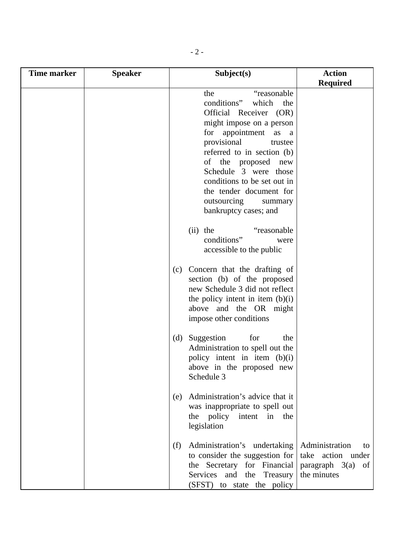| Time marker | <b>Speaker</b> | Subject(s)                                                                                                                                                                                                                                                                                                                      | <b>Action</b>                                                                      |
|-------------|----------------|---------------------------------------------------------------------------------------------------------------------------------------------------------------------------------------------------------------------------------------------------------------------------------------------------------------------------------|------------------------------------------------------------------------------------|
|             |                |                                                                                                                                                                                                                                                                                                                                 | <b>Required</b>                                                                    |
|             |                | the<br>"reasonable"<br>which<br>conditions"<br>the<br>Official Receiver (OR)<br>might impose on a person<br>for appointment as a<br>provisional<br>trustee<br>referred to in section (b)<br>of the proposed<br>new<br>Schedule 3 were those<br>conditions to be set out in<br>the tender document for<br>outsourcing<br>summary |                                                                                    |
|             |                | bankruptcy cases; and<br>$(ii)$ the<br>"reasonable"<br>conditions"<br>were<br>accessible to the public                                                                                                                                                                                                                          |                                                                                    |
|             |                | Concern that the drafting of<br>(c)<br>section (b) of the proposed<br>new Schedule 3 did not reflect<br>the policy intent in item (b)(i)<br>above and the OR might<br>impose other conditions                                                                                                                                   |                                                                                    |
|             |                | for<br>Suggestion<br>(d)<br>the<br>Administration to spell out the<br>policy intent in item (b)(i)<br>above in the proposed new<br>Schedule 3                                                                                                                                                                                   |                                                                                    |
|             |                | Administration's advice that it<br>(e)<br>was inappropriate to spell out<br>the policy intent<br>in<br>the<br>legislation                                                                                                                                                                                                       |                                                                                    |
|             |                | Administration's undertaking<br>(f)<br>to consider the suggestion for<br>the Secretary for Financial<br>Services and the Treasury<br>(SFST) to state the policy                                                                                                                                                                 | Administration<br>to<br>take action under<br>paragraph $3(a)$<br>of<br>the minutes |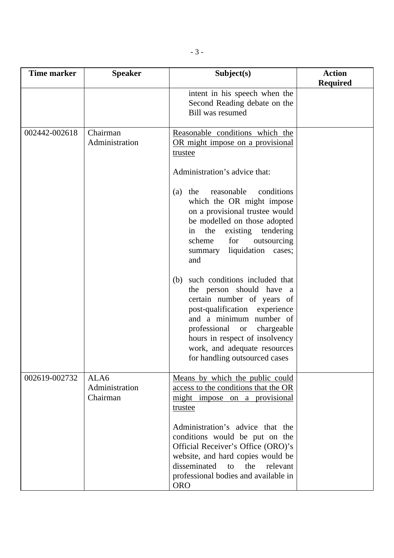| <b>Time marker</b> | <b>Speaker</b>                     | Subject(s)                                                                                                                                                                                                                                                                                                                                                                                                                                                                                                                                                                                                                                                                      | <b>Action</b><br><b>Required</b> |
|--------------------|------------------------------------|---------------------------------------------------------------------------------------------------------------------------------------------------------------------------------------------------------------------------------------------------------------------------------------------------------------------------------------------------------------------------------------------------------------------------------------------------------------------------------------------------------------------------------------------------------------------------------------------------------------------------------------------------------------------------------|----------------------------------|
|                    |                                    | intent in his speech when the<br>Second Reading debate on the<br><b>Bill was resumed</b>                                                                                                                                                                                                                                                                                                                                                                                                                                                                                                                                                                                        |                                  |
| 002442-002618      | Chairman<br>Administration         | Reasonable conditions which the<br>OR might impose on a provisional<br>trustee<br>Administration's advice that:<br>reasonable<br>conditions<br>the<br>(a)<br>which the OR might impose<br>on a provisional trustee would<br>be modelled on those adopted<br>the<br>existing tendering<br>in<br>scheme<br>for<br>outsourcing<br>liquidation cases;<br>summary<br>and<br>such conditions included that<br>(b)<br>the person should have a<br>certain number of years of<br>post-qualification experience<br>and a minimum number of<br>professional<br>chargeable<br><b>or</b><br>hours in respect of insolvency<br>work, and adequate resources<br>for handling outsourced cases |                                  |
| 002619-002732      | ALA6<br>Administration<br>Chairman | Means by which the public could<br>access to the conditions that the OR<br>might impose on a provisional<br>trustee<br>Administration's advice that the<br>conditions would be put on the<br>Official Receiver's Office (ORO)'s<br>website, and hard copies would be<br>disseminated<br>to<br>the<br>relevant<br>professional bodies and available in<br><b>ORO</b>                                                                                                                                                                                                                                                                                                             |                                  |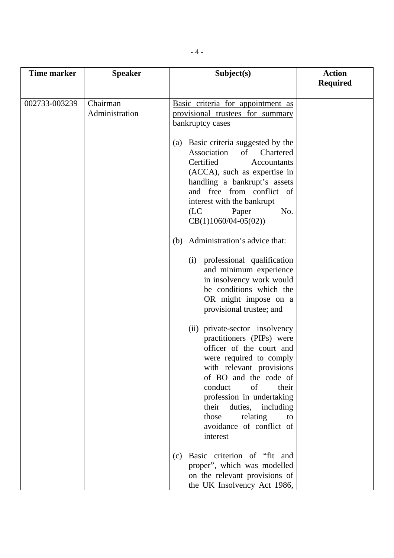| <b>Time marker</b> | <b>Speaker</b> | Subject(s)                                                                                                                                                                                                                                                                                                                                                                                                                                                                                                                                                                                                                                                                                                                      | <b>Action</b>   |
|--------------------|----------------|---------------------------------------------------------------------------------------------------------------------------------------------------------------------------------------------------------------------------------------------------------------------------------------------------------------------------------------------------------------------------------------------------------------------------------------------------------------------------------------------------------------------------------------------------------------------------------------------------------------------------------------------------------------------------------------------------------------------------------|-----------------|
|                    |                |                                                                                                                                                                                                                                                                                                                                                                                                                                                                                                                                                                                                                                                                                                                                 | <b>Required</b> |
|                    |                |                                                                                                                                                                                                                                                                                                                                                                                                                                                                                                                                                                                                                                                                                                                                 |                 |
| 002733-003239      | Chairman       | Basic criteria for appointment as                                                                                                                                                                                                                                                                                                                                                                                                                                                                                                                                                                                                                                                                                               |                 |
|                    | Administration | provisional trustees for summary                                                                                                                                                                                                                                                                                                                                                                                                                                                                                                                                                                                                                                                                                                |                 |
|                    |                |                                                                                                                                                                                                                                                                                                                                                                                                                                                                                                                                                                                                                                                                                                                                 |                 |
|                    |                | bankruptcy cases<br>(a) Basic criteria suggested by the<br>Association<br>$\sigma$<br>Chartered<br>Certified<br>Accountants<br>(ACCA), such as expertise in<br>handling a bankrupt's assets<br>and free from conflict of<br>interest with the bankrupt<br>(LC)<br>No.<br>Paper<br>$CB(1)1060/04-05(02))$<br>Administration's advice that:<br>(b)<br>professional qualification<br>(i)<br>and minimum experience<br>in insolvency work would<br>be conditions which the<br>OR might impose on a<br>provisional trustee; and<br>(ii) private-sector insolvency<br>practitioners (PIPs) were<br>officer of the court and<br>were required to comply<br>with relevant provisions<br>of BO and the code of<br>of<br>their<br>conduct |                 |
|                    |                | profession in undertaking<br>duties, including<br>their                                                                                                                                                                                                                                                                                                                                                                                                                                                                                                                                                                                                                                                                         |                 |
|                    |                | those<br>relating<br>to                                                                                                                                                                                                                                                                                                                                                                                                                                                                                                                                                                                                                                                                                                         |                 |
|                    |                | avoidance of conflict of                                                                                                                                                                                                                                                                                                                                                                                                                                                                                                                                                                                                                                                                                                        |                 |
|                    |                | interest                                                                                                                                                                                                                                                                                                                                                                                                                                                                                                                                                                                                                                                                                                                        |                 |
|                    |                | Basic criterion of "fit and<br>(c)                                                                                                                                                                                                                                                                                                                                                                                                                                                                                                                                                                                                                                                                                              |                 |
|                    |                | proper", which was modelled                                                                                                                                                                                                                                                                                                                                                                                                                                                                                                                                                                                                                                                                                                     |                 |
|                    |                | on the relevant provisions of                                                                                                                                                                                                                                                                                                                                                                                                                                                                                                                                                                                                                                                                                                   |                 |
|                    |                | the UK Insolvency Act 1986,                                                                                                                                                                                                                                                                                                                                                                                                                                                                                                                                                                                                                                                                                                     |                 |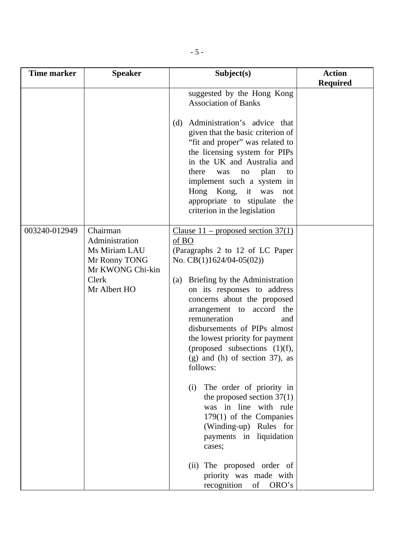| <b>Time marker</b> | <b>Speaker</b>                                                                                            | Subject(s)                                                                                                                                                                                                                                                                                                                                                                                                                                                                                                                                                                                                                                                                                                   | <b>Action</b>   |
|--------------------|-----------------------------------------------------------------------------------------------------------|--------------------------------------------------------------------------------------------------------------------------------------------------------------------------------------------------------------------------------------------------------------------------------------------------------------------------------------------------------------------------------------------------------------------------------------------------------------------------------------------------------------------------------------------------------------------------------------------------------------------------------------------------------------------------------------------------------------|-----------------|
|                    |                                                                                                           | suggested by the Hong Kong<br><b>Association of Banks</b><br>Administration's advice that<br>(d)<br>given that the basic criterion of<br>"fit and proper" was related to<br>the licensing system for PIPs<br>in the UK and Australia and<br>there<br>plan<br>was<br>no<br>to<br>implement such a system in<br>Hong Kong, it was<br>not<br>appropriate to stipulate the<br>criterion in the legislation                                                                                                                                                                                                                                                                                                       | <b>Required</b> |
| 003240-012949      | Chairman<br>Administration<br>Ms Miriam LAU<br>Mr Ronny TONG<br>Mr KWONG Chi-kin<br>Clerk<br>Mr Albert HO | Clause $11$ – proposed section 37(1)<br>of BO<br>(Paragraphs 2 to 12 of LC Paper)<br>No. $CB(1)1624/04-05(02))$<br>(a) Briefing by the Administration<br>on its responses to address<br>concerns about the proposed<br>arrangement to accord the<br>remuneration<br>and<br>disbursements of PIPs almost<br>the lowest priority for payment<br>(proposed subsections (1)(f),<br>$(g)$ and $(h)$ of section 37), as<br>follows:<br>The order of priority in<br>(i)<br>the proposed section $37(1)$<br>was in line with rule<br>179(1) of the Companies<br>(Winding-up) Rules for<br>payments in liquidation<br>cases;<br>The proposed order of<br>(ii)<br>priority was made with<br>of<br>ORO's<br>recognition |                 |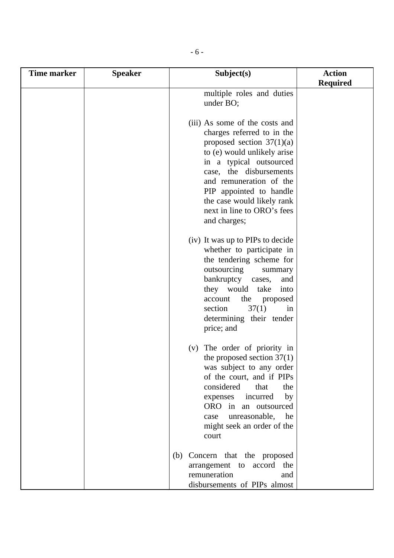| <b>Time marker</b> | <b>Speaker</b> | Subject(s)                                                                                                                                                                                                                                                                                                         | <b>Action</b>   |
|--------------------|----------------|--------------------------------------------------------------------------------------------------------------------------------------------------------------------------------------------------------------------------------------------------------------------------------------------------------------------|-----------------|
|                    |                |                                                                                                                                                                                                                                                                                                                    | <b>Required</b> |
|                    |                | multiple roles and duties<br>under BO;                                                                                                                                                                                                                                                                             |                 |
|                    |                | (iii) As some of the costs and<br>charges referred to in the<br>proposed section $37(1)(a)$<br>to (e) would unlikely arise<br>in a typical outsourced<br>case, the disbursements<br>and remuneration of the<br>PIP appointed to handle<br>the case would likely rank<br>next in line to ORO's fees<br>and charges; |                 |
|                    |                | (iv) It was up to PIPs to decide<br>whether to participate in<br>the tendering scheme for<br>outsourcing<br>summary<br>bankruptcy cases,<br>and<br>they would take<br>into<br>account<br>the<br>proposed<br>section<br>37(1)<br>in<br>determining their tender<br>price; and                                       |                 |
|                    |                | (v) The order of priority in<br>the proposed section $37(1)$<br>was subject to any order<br>of the court, and if PIPs<br>considered<br>that<br>the<br>incurred<br>by<br>expenses<br>ORO in an outsourced<br>unreasonable, he<br>case<br>might seek an order of the<br>court                                        |                 |
|                    |                | (b) Concern that the proposed<br>arrangement to accord the<br>remuneration<br>and<br>disbursements of PIPs almost                                                                                                                                                                                                  |                 |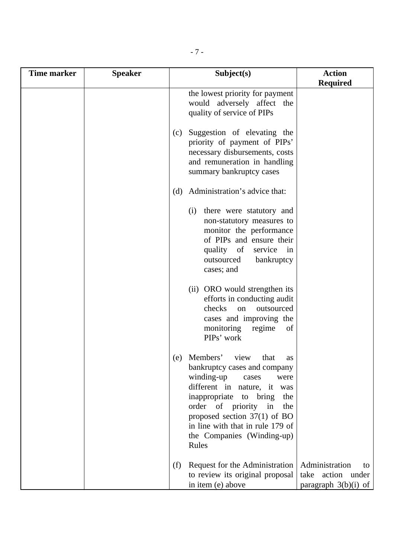| <b>Time marker</b> | <b>Speaker</b> | Subject(s)                                                                                                                                                                                                                                                                                                          | <b>Action</b>                                                       |
|--------------------|----------------|---------------------------------------------------------------------------------------------------------------------------------------------------------------------------------------------------------------------------------------------------------------------------------------------------------------------|---------------------------------------------------------------------|
|                    |                | the lowest priority for payment<br>would adversely affect the<br>quality of service of PIPs                                                                                                                                                                                                                         | <b>Required</b>                                                     |
|                    |                | Suggestion of elevating the<br>(c)<br>priority of payment of PIPs'<br>necessary disbursements, costs<br>and remuneration in handling<br>summary bankruptcy cases                                                                                                                                                    |                                                                     |
|                    |                | Administration's advice that:<br>(d)                                                                                                                                                                                                                                                                                |                                                                     |
|                    |                | (i)<br>there were statutory and<br>non-statutory measures to<br>monitor the performance<br>of PIPs and ensure their<br>of<br>quality<br>service<br>in<br>outsourced<br>bankruptcy<br>cases; and                                                                                                                     |                                                                     |
|                    |                | (ii) ORO would strengthen its<br>efforts in conducting audit<br>checks<br>outsourced<br>on<br>cases and improving the<br>monitoring<br>regime<br>of<br>PIPs' work                                                                                                                                                   |                                                                     |
|                    |                | Members'<br>view<br>that<br>(e)<br>as<br>bankruptcy cases and company<br>winding-up<br>were<br>cases<br>different in nature, it was<br>inappropriate to bring<br>the<br>order of priority<br>in<br>the<br>proposed section $37(1)$ of BO<br>in line with that in rule 179 of<br>the Companies (Winding-up)<br>Rules |                                                                     |
|                    |                | Request for the Administration<br>(f)<br>to review its original proposal<br>in item (e) above                                                                                                                                                                                                                       | Administration<br>tΟ<br>take action under<br>paragraph $3(b)(i)$ of |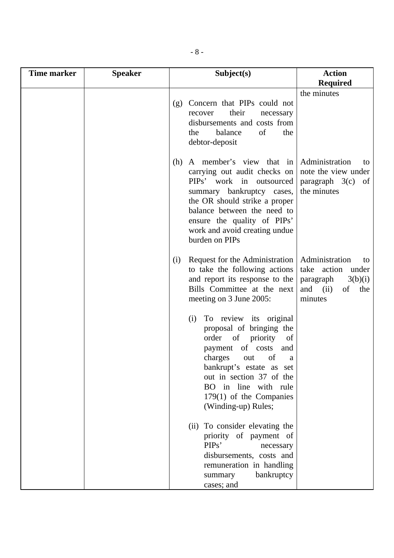| Time marker | <b>Speaker</b> | Subject(s)                                                                                                                                                                                                                                                                                                                                                                                                                              | <b>Action</b>                                                                                                                       |
|-------------|----------------|-----------------------------------------------------------------------------------------------------------------------------------------------------------------------------------------------------------------------------------------------------------------------------------------------------------------------------------------------------------------------------------------------------------------------------------------|-------------------------------------------------------------------------------------------------------------------------------------|
|             |                |                                                                                                                                                                                                                                                                                                                                                                                                                                         | <b>Required</b>                                                                                                                     |
|             |                | (g) Concern that PIPs could not<br>their<br>recover<br>disbursements and costs from<br>of<br>balance<br>the<br>debtor-deposit                                                                                                                                                                                                                                                                                                           | the minutes<br>necessary<br>the                                                                                                     |
|             |                | A member's view that in<br>(h)<br>carrying out audit checks on<br>PIPs' work in outsourced<br>summary bankruptcy cases,<br>the OR should strike a proper<br>balance between the need to<br>ensure the quality of PIPs'<br>work and avoid creating undue<br>burden on PIPs                                                                                                                                                               | Administration<br>to<br>note the view under<br>$paragraph \quad 3(c)$<br>of<br>the minutes                                          |
|             |                | Request for the Administration<br>(i)<br>to take the following actions<br>and report its response to the<br>Bills Committee at the next<br>meeting on 3 June 2005:<br>To review its original<br>(i)<br>proposal of bringing the<br>of<br>priority<br>order<br>of costs<br>payment<br>charges<br>out<br>bankrupt's estate as set<br>out in section 37 of the<br>BO in line with rule<br>$179(1)$ of the Companies<br>(Winding-up) Rules; | Administration<br>to<br>take action<br>under<br>3(b)(i)<br>paragraph<br>and<br>(ii)<br>the<br>of<br>minutes<br>of<br>and<br>of<br>a |
|             |                | (ii) To consider elevating the<br>priority of payment of<br>PIP <sub>s</sub> '<br>disbursements, costs and<br>remuneration in handling<br>summary<br>cases; and                                                                                                                                                                                                                                                                         | necessary<br>bankruptcy                                                                                                             |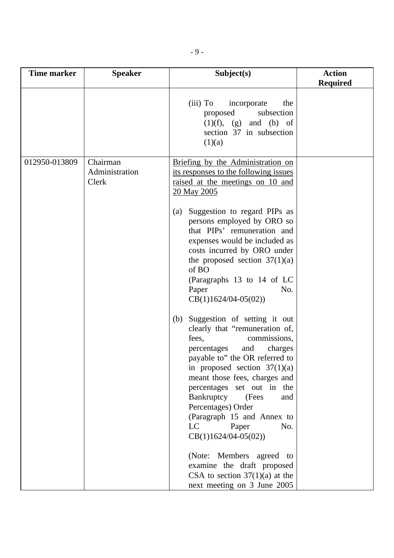| <b>Time marker</b> | <b>Speaker</b>          | Subject(s)                                                                                                                                                                                                                                                                                                                                                                                                                                                                                                                                                                                                                                                                                                                                                                                                                                                                                                            | <b>Action</b>   |
|--------------------|-------------------------|-----------------------------------------------------------------------------------------------------------------------------------------------------------------------------------------------------------------------------------------------------------------------------------------------------------------------------------------------------------------------------------------------------------------------------------------------------------------------------------------------------------------------------------------------------------------------------------------------------------------------------------------------------------------------------------------------------------------------------------------------------------------------------------------------------------------------------------------------------------------------------------------------------------------------|-----------------|
| 012950-013809      | Chairman                | (iii) To<br>incorporate<br>the<br>subsection<br>proposed<br>$(1)(f)$ , $(g)$ and $(h)$ of<br>section 37 in subsection<br>(1)(a)<br>Briefing by the Administration on                                                                                                                                                                                                                                                                                                                                                                                                                                                                                                                                                                                                                                                                                                                                                  | <b>Required</b> |
|                    | Administration<br>Clerk | its responses to the following issues<br>raised at the meetings on 10 and<br>20 May 2005<br>Suggestion to regard PIPs as<br>(a)<br>persons employed by ORO so<br>that PIPs' remuneration and<br>expenses would be included as<br>costs incurred by ORO under<br>the proposed section $37(1)(a)$<br>of BO<br>(Paragraphs 13 to 14 of LC<br>Paper<br>No.<br>$CB(1)1624/04-05(02))$<br>Suggestion of setting it out<br>(b)<br>clearly that "remuneration of,<br>commissions,<br>fees,<br>and<br>percentages<br>charges<br>payable to" the OR referred to<br>in proposed section $37(1)(a)$<br>meant those fees, charges and<br>percentages set out in the<br>Bankruptcy<br>(Fees<br>and<br>Percentages) Order<br>(Paragraph 15 and Annex to<br>LC<br>Paper<br>No.<br>$CB(1)1624/04-05(02))$<br>(Note: Members agreed to<br>examine the draft proposed<br>CSA to section $37(1)(a)$ at the<br>next meeting on 3 June 2005 |                 |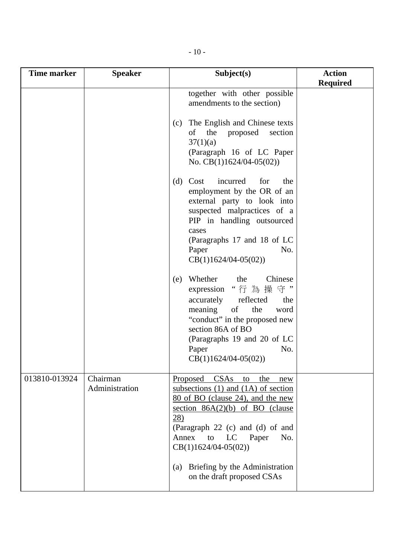| <b>Time marker</b> | <b>Speaker</b>             | Subject(s)                                                                                                                                                                                                                                                                                                                                                                                                                                                                                                                                                                                                                                                                                                                   | <b>Action</b>   |
|--------------------|----------------------------|------------------------------------------------------------------------------------------------------------------------------------------------------------------------------------------------------------------------------------------------------------------------------------------------------------------------------------------------------------------------------------------------------------------------------------------------------------------------------------------------------------------------------------------------------------------------------------------------------------------------------------------------------------------------------------------------------------------------------|-----------------|
|                    |                            | together with other possible<br>amendments to the section)<br>The English and Chinese texts<br>(c)<br>the<br>of<br>proposed<br>section<br>37(1)(a)<br>(Paragraph 16 of LC Paper<br>No. $CB(1)1624/04-05(02))$<br>Cost<br>incurred<br>for<br>(d)<br>the<br>employment by the OR of an<br>external party to look into<br>suspected malpractices of a<br>PIP in handling outsourced<br>cases<br>(Paragraphs 17 and 18 of LC<br>Paper<br>No.<br>$CB(1)1624/04-05(02))$<br>Whether<br>Chinese<br>the<br>(e)<br>"行為操守"<br>expression<br>accurately reflected<br>the<br>meaning<br>the<br>of<br>word<br>"conduct" in the proposed new<br>section 86A of BO<br>(Paragraphs 19 and 20 of LC<br>No.<br>Paper<br>$CB(1)1624/04-05(02))$ | <b>Required</b> |
| 013810-013924      | Chairman<br>Administration | Proposed CSAs<br>the<br>to<br>new<br>subsections $(1)$ and $(1A)$ of section<br>80 of BO (clause 24), and the new<br>section $86A(2)(b)$ of BO (clause<br>$\overline{28}$ )<br>(Paragraph 22 (c) and (d) of and<br>Annex<br>Paper<br>No.<br>to<br>LC<br>$CB(1)1624/04-05(02))$<br>Briefing by the Administration<br>(a)<br>on the draft proposed CSAs                                                                                                                                                                                                                                                                                                                                                                        |                 |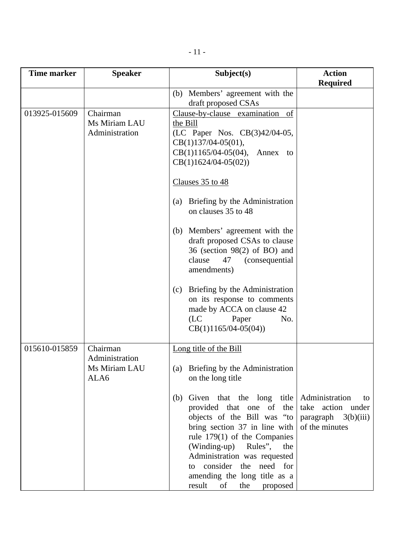| <b>Time marker</b> | <b>Speaker</b>                                      | Subject(s)                                                                                                                                                                                                                                                                                                                                                                                                          | <b>Action</b>                                                                                |
|--------------------|-----------------------------------------------------|---------------------------------------------------------------------------------------------------------------------------------------------------------------------------------------------------------------------------------------------------------------------------------------------------------------------------------------------------------------------------------------------------------------------|----------------------------------------------------------------------------------------------|
|                    |                                                     |                                                                                                                                                                                                                                                                                                                                                                                                                     | <b>Required</b>                                                                              |
|                    |                                                     | (b) Members' agreement with the<br>draft proposed CSAs                                                                                                                                                                                                                                                                                                                                                              |                                                                                              |
| 013925-015609      | Chairman<br>Ms Miriam LAU<br>Administration         | Clause-by-clause examination of<br>the Bill<br>(LC Paper Nos. CB(3)42/04-05,<br>$CB(1)137/04-05(01),$<br>$CB(1)1165/04-05(04),$<br>Annex to<br>$CB(1)1624/04-05(02))$<br>Clauses 35 to 48<br>(a) Briefing by the Administration<br>on clauses 35 to 48<br>Members' agreement with the<br>(b)<br>draft proposed CSAs to clause<br>36 (section $98(2)$ of BO) and                                                     |                                                                                              |
|                    |                                                     | clause<br><i>(consequential)</i><br>47<br>amendments)<br>Briefing by the Administration<br>(c)<br>on its response to comments<br>made by ACCA on clause 42<br>(LC)<br>Paper<br>No.<br>$CB(1)1165/04-05(04))$                                                                                                                                                                                                        |                                                                                              |
| 015610-015859      | Chairman<br>Administration<br>Ms Miriam LAU<br>ALA6 | Long title of the Bill<br>Briefing by the Administration<br>(a)<br>on the long title<br>Given that the long title<br>(b)<br>provided that one of the<br>objects of the Bill was "to<br>bring section $37$ in line with<br>rule $179(1)$ of the Companies<br>(Winding-up) Rules", the<br>Administration was requested<br>consider the need for<br>to<br>amending the long title as a<br>result<br>of<br>the proposed | Administration<br>to<br>take action under<br>$\vert$ paragraph $3(b)(iii)$<br>of the minutes |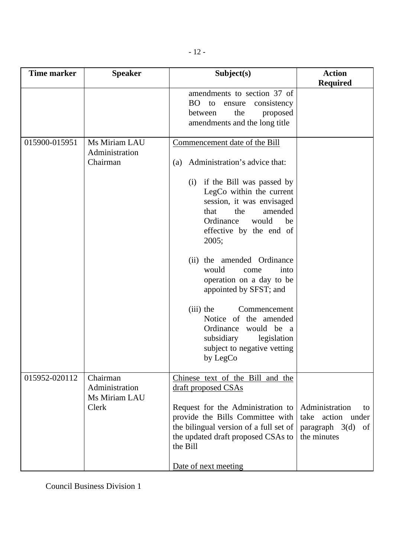| <b>Time marker</b> | <b>Speaker</b>                                       | Subject(s)                                                                                                                                                                                                                                                                                                                                                                                                                                                      | <b>Action</b>                                                                         |
|--------------------|------------------------------------------------------|-----------------------------------------------------------------------------------------------------------------------------------------------------------------------------------------------------------------------------------------------------------------------------------------------------------------------------------------------------------------------------------------------------------------------------------------------------------------|---------------------------------------------------------------------------------------|
|                    |                                                      |                                                                                                                                                                                                                                                                                                                                                                                                                                                                 | <b>Required</b>                                                                       |
|                    |                                                      | amendments to section 37 of<br>BO to<br>consistency<br>ensure<br>between<br>the<br>proposed<br>amendments and the long title                                                                                                                                                                                                                                                                                                                                    |                                                                                       |
| 015900-015951      | Ms Miriam LAU<br>Administration<br>Chairman          | Commencement date of the Bill<br>Administration's advice that:<br>(a)<br>if the Bill was passed by<br>(i)<br>LegCo within the current<br>session, it was envisaged<br>that<br>amended<br>the<br>Ordinance<br>would<br>be<br>effective by the end of<br>2005;<br>the amended Ordinance<br>(ii)<br>would<br>into<br>come<br>operation on a day to be<br>appointed by SFST; and<br>$(iii)$ the<br>Commencement<br>Notice of the amended<br>Ordinance<br>would be a |                                                                                       |
|                    |                                                      | subsidiary<br>legislation<br>subject to negative vetting<br>by LegCo                                                                                                                                                                                                                                                                                                                                                                                            |                                                                                       |
| 015952-020112      | Chairman<br>Administration<br>Ms Miriam LAU<br>Clerk | Chinese text of the Bill and the<br>draft proposed CSAs<br>Request for the Administration to<br>provide the Bills Committee with<br>the bilingual version of a full set of<br>the updated draft proposed CSAs to<br>the Bill<br>Date of next meeting                                                                                                                                                                                                            | Administration<br>to<br>action under<br>take<br>paragraph $3(d)$<br>of<br>the minutes |

Council Business Division 1